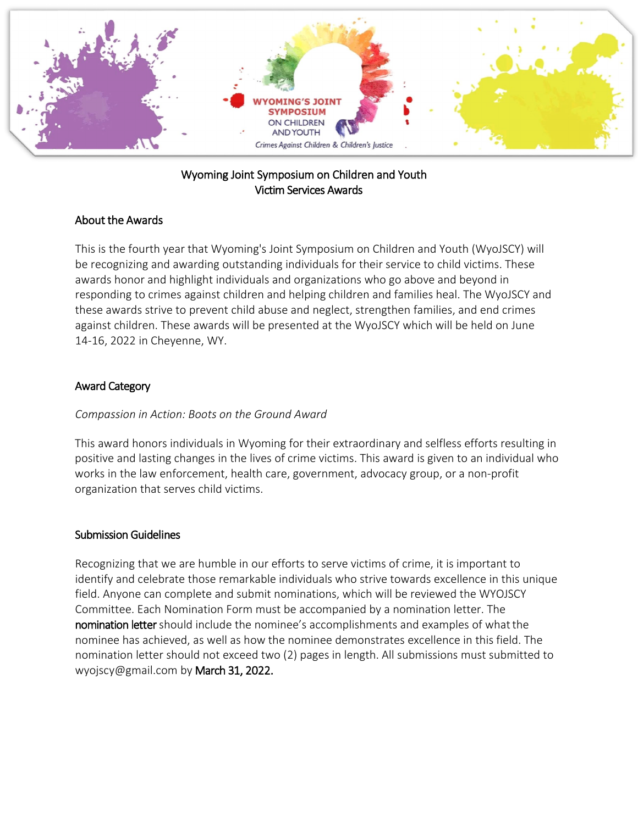

## Wyoming Joint Symposium on Children and Youth Victim Services Awards

## About the Awards

This is the fourth year that Wyoming's Joint Symposium on Children and Youth (WyoJSCY) will be recognizing and awarding outstanding individuals for their service to child victims. These awards honor and highlight individuals and organizations who go above and beyond in responding to crimes against children and helping children and families heal. The WyoJSCY and these awards strive to prevent child abuse and neglect, strengthen families, and end crimes against children. These awards will be presented at the WyoJSCY which will be held on June 14-16, 2022 in Cheyenne, WY.

## Award Category

#### *Compassion in Action: Boots on the Ground Award*

This award honors individuals in Wyoming for their extraordinary and selfless efforts resulting in positive and lasting changes in the lives of crime victims. This award is given to an individual who works in the law enforcement, health care, government, advocacy group, or a non-profit organization that serves child victims.

#### Submission Guidelines

Recognizing that we are humble in our efforts to serve victims of crime, it is important to identify and celebrate those remarkable individuals who strive towards excellence in this unique field. Anyone can complete and submit nominations, which will be reviewed the WYOJSCY Committee. Each Nomination Form must be accompanied by a nomination letter. The nomination letter should include the nominee's accomplishments and examples of whatthe nominee has achieved, as well as how the nominee demonstrates excellence in this field. The nomination letter should not exceed two (2) pages in length. All submissions must submitted to wyojscy@gmail.com by March 31, 2022.